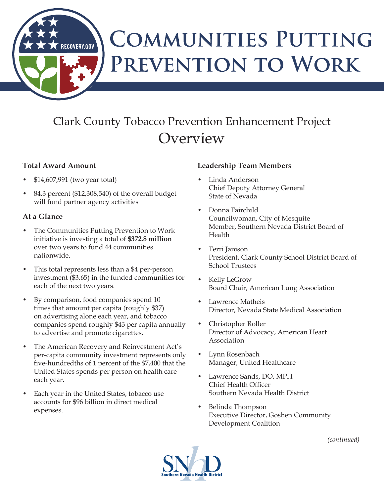# **COMMUNITIES PUTTING** PREVENTION TO WORK

# Clark County Tobacco Prevention Enhancement Project **Overview**

#### **Total Award Amount**

\$14,607,991 (two year total)

**RECOVERY.GOV** 

84.3 percent (\$12,308,540) of the overall budget will fund partner agency activities

## **At a Glance**

- The Communities Putting Prevention to Work initiative is investing a total of **\$372.8 million**  over two years to fund 44 communities nationwide.
- This total represents less than a \$4 per-person investment (\$3.65) in the funded communities for each of the next two years.
- By comparison, food companies spend 10 times that amount per capita (roughly \$37) on advertising alone each year, and tobacco companies spend roughly \$43 per capita annually to advertise and promote cigarettes.
- The American Recovery and Reinvestment Act's per-capita community investment represents only five-hundredths of 1 percent of the \$7,400 that the United States spends per person on health care each year.
- Each year in the United States, tobacco use accounts for \$96 billion in direct medical expenses.

## **Leadership Team Members**

- Linda Anderson Chief Deputy Attorney General State of Nevada
- Donna Fairchild Councilwoman, City of Mesquite Member, Southern Nevada District Board of Health
- Terri Janison President, Clark County School District Board of School Trustees
- Kelly LeGrow Board Chair, American Lung Association
- Lawrence Matheis Director, Nevada State Medical Association
- Christopher Roller Director of Advocacy, American Heart Association
- Lynn Rosenbach Manager, United Healthcare
- Lawrence Sands, DO, MPH Chief Health Officer Southern Nevada Health District
- Belinda Thompson Executive Director, Goshen Community Development Coalition

*(continued)*